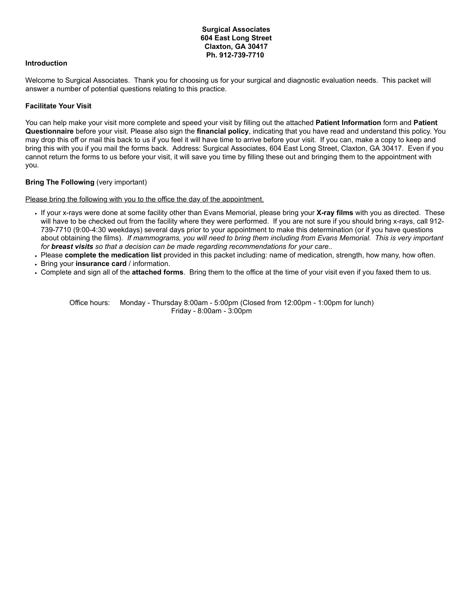# **Surgical Associates 604 East Long Street Claxton, GA 30417 Ph. 912-739-7710**

## **Introduction**

Welcome to Surgical Associates. Thank you for choosing us for your surgical and diagnostic evaluation needs. This packet will answer a number of potential questions relating to this practice.

### **Facilitate Your Visit**

You can help make your visit more complete and speed your visit by filling out the attached **Patient Information** form and **Patient Questionnaire** before your visit. Please also sign the **financial policy**, indicating that you have read and understand this policy. You may drop this off or mail this back to us if you feel it will have time to arrive before your visit. If you can, make a copy to keep and bring this with you if you mail the forms back. Address: Surgical Associates, 604 East Long Street, Claxton, GA 30417. Even if you cannot return the forms to us before your visit, it will save you time by filling these out and bringing them to the appointment with you.

# **Bring The Following** (very important)

Please bring the following with you to the office the day of the appointment.

- If your x-rays were done at some facility other than Evans Memorial, please bring your **X-ray films** with you as directed. These will have to be checked out from the facility where they were performed. If you are not sure if you should bring x-rays, call 912- 739-7710 (9:00-4:30 weekdays) several days prior to your appointment to make this determination (or if you have questions about obtaining the films). If mammograms, you will need to bring them including from Evans Memorial. This is very important *for breast visits so that a decision can be made regarding recommendations for your care..*
- Please **complete the medication list** provided in this packet including: name of medication, strength, how many, how often.
- Bring your **insurance card** / information.
- Complete and sign all of the **attached forms**. Bring them to the office at the time of your visit even if you faxed them to us.

Office hours: Monday - Thursday 8:00am - 5:00pm (Closed from 12:00pm - 1:00pm for lunch) Friday - 8:00am - 3:00pm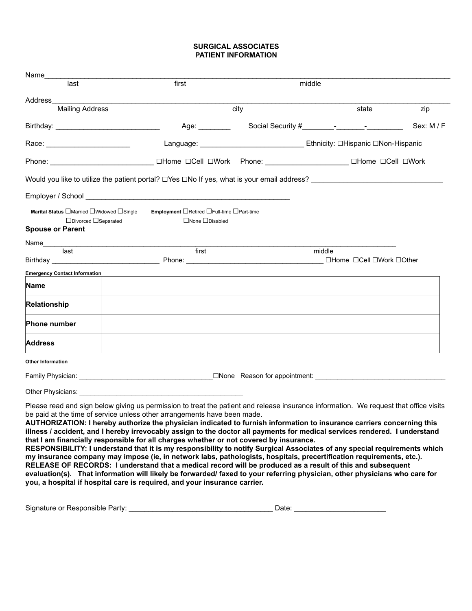# **SURGICAL ASSOCIATES PATIENT INFORMATION**

| Name_                                                                                       |                                                                                                                                                                                                                                                                                                                                                                                                                                                                                                                                                                                                                                                                                                                                                                                                                                                                                                                                        |        |                                                                                                                |            |
|---------------------------------------------------------------------------------------------|----------------------------------------------------------------------------------------------------------------------------------------------------------------------------------------------------------------------------------------------------------------------------------------------------------------------------------------------------------------------------------------------------------------------------------------------------------------------------------------------------------------------------------------------------------------------------------------------------------------------------------------------------------------------------------------------------------------------------------------------------------------------------------------------------------------------------------------------------------------------------------------------------------------------------------------|--------|----------------------------------------------------------------------------------------------------------------|------------|
| last                                                                                        | first                                                                                                                                                                                                                                                                                                                                                                                                                                                                                                                                                                                                                                                                                                                                                                                                                                                                                                                                  | middle |                                                                                                                |            |
| Address<br><b>Mailing Address</b>                                                           |                                                                                                                                                                                                                                                                                                                                                                                                                                                                                                                                                                                                                                                                                                                                                                                                                                                                                                                                        | city   | state                                                                                                          | zip        |
|                                                                                             | Age: $\_\_$                                                                                                                                                                                                                                                                                                                                                                                                                                                                                                                                                                                                                                                                                                                                                                                                                                                                                                                            |        | Social Security # Fig. 1.1 Processor Processor Processor Processor Processor Processor Processor Processor Pro | Sex: M / F |
| Race: _________________________                                                             |                                                                                                                                                                                                                                                                                                                                                                                                                                                                                                                                                                                                                                                                                                                                                                                                                                                                                                                                        |        |                                                                                                                |            |
|                                                                                             |                                                                                                                                                                                                                                                                                                                                                                                                                                                                                                                                                                                                                                                                                                                                                                                                                                                                                                                                        |        |                                                                                                                |            |
|                                                                                             |                                                                                                                                                                                                                                                                                                                                                                                                                                                                                                                                                                                                                                                                                                                                                                                                                                                                                                                                        |        |                                                                                                                |            |
|                                                                                             |                                                                                                                                                                                                                                                                                                                                                                                                                                                                                                                                                                                                                                                                                                                                                                                                                                                                                                                                        |        |                                                                                                                |            |
|                                                                                             |                                                                                                                                                                                                                                                                                                                                                                                                                                                                                                                                                                                                                                                                                                                                                                                                                                                                                                                                        |        |                                                                                                                |            |
| Marital Status □Married □Widowed □Single<br>□Divorced □Separated<br><b>Spouse or Parent</b> | <b>Employment □Retired</b> □Full-time □Part-time<br>$\Box$ None $\Box$ Disabled                                                                                                                                                                                                                                                                                                                                                                                                                                                                                                                                                                                                                                                                                                                                                                                                                                                        |        |                                                                                                                |            |
|                                                                                             |                                                                                                                                                                                                                                                                                                                                                                                                                                                                                                                                                                                                                                                                                                                                                                                                                                                                                                                                        |        |                                                                                                                |            |
|                                                                                             | first                                                                                                                                                                                                                                                                                                                                                                                                                                                                                                                                                                                                                                                                                                                                                                                                                                                                                                                                  |        | middle<br>□Home □Cell □Work □Other                                                                             |            |
| <b>Emergency Contact Information</b>                                                        |                                                                                                                                                                                                                                                                                                                                                                                                                                                                                                                                                                                                                                                                                                                                                                                                                                                                                                                                        |        |                                                                                                                |            |
| Name                                                                                        |                                                                                                                                                                                                                                                                                                                                                                                                                                                                                                                                                                                                                                                                                                                                                                                                                                                                                                                                        |        |                                                                                                                |            |
| Relationship                                                                                |                                                                                                                                                                                                                                                                                                                                                                                                                                                                                                                                                                                                                                                                                                                                                                                                                                                                                                                                        |        |                                                                                                                |            |
| Phone number                                                                                |                                                                                                                                                                                                                                                                                                                                                                                                                                                                                                                                                                                                                                                                                                                                                                                                                                                                                                                                        |        |                                                                                                                |            |
| <b>Address</b>                                                                              |                                                                                                                                                                                                                                                                                                                                                                                                                                                                                                                                                                                                                                                                                                                                                                                                                                                                                                                                        |        |                                                                                                                |            |
| <b>Other Information</b>                                                                    |                                                                                                                                                                                                                                                                                                                                                                                                                                                                                                                                                                                                                                                                                                                                                                                                                                                                                                                                        |        |                                                                                                                |            |
|                                                                                             |                                                                                                                                                                                                                                                                                                                                                                                                                                                                                                                                                                                                                                                                                                                                                                                                                                                                                                                                        |        |                                                                                                                |            |
|                                                                                             |                                                                                                                                                                                                                                                                                                                                                                                                                                                                                                                                                                                                                                                                                                                                                                                                                                                                                                                                        |        |                                                                                                                |            |
|                                                                                             | Please read and sign below giving us permission to treat the patient and release insurance information. We request that office visits<br>be paid at the time of service unless other arrangements have been made.<br>AUTHORIZATION: I hereby authorize the physician indicated to furnish information to insurance carriers concerning this<br>illness / accident, and I hereby irrevocably assign to the doctor all payments for medical services rendered. I understand<br>that I am financially responsible for all charges whether or not covered by insurance.<br>RESPONSIBILITY: I understand that it is my responsibility to notify Surgical Associates of any special requirements which<br>my insurance company may impose (ie, in network labs, pathologists, hospitals, precertification requirements, etc.).<br>RELEASE OF RECORDS: I understand that a medical record will be produced as a result of this and subsequent |        |                                                                                                                |            |

evaluation(s). That information will likely be forwarded/ faxed to your referring physician, other physicians who care for **you, a hospital if hospital care is required, and your insurance carrier.**

| Signature or Responsible<br>Party: | alle. |  |
|------------------------------------|-------|--|
|                                    |       |  |
|                                    |       |  |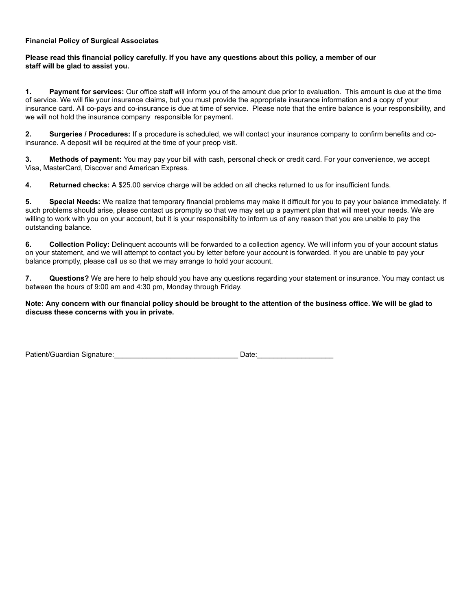# **Financial Policy of Surgical Associates**

# Please read this financial policy carefully. If you have any questions about this policy, a member of our **staff will be glad to assist you.**

**1. Payment for services:** Our office staff will inform you of the amount due prior to evaluation. This amount is due at the time of service. We will file your insurance claims, but you must provide the appropriate insurance information and a copy of your insurance card. All co-pays and co-insurance is due at time of service. Please note that the entire balance is your responsibility, and we will not hold the insurance company responsible for payment.

**2. Surgeries / Procedures:** If a procedure is scheduled, we will contact your insurance company to confirm benefits and coinsurance. A deposit will be required at the time of your preop visit.

**3. Methods of payment:** You may pay your bill with cash, personal check or credit card. For your convenience, we accept Visa, MasterCard, Discover and American Express.

**4. Returned checks:** A \$25.00 service charge will be added on all checks returned to us for insufficient funds.

**5. Special Needs:** We realize that temporary financial problems may make it difficult for you to pay your balance immediately. If such problems should arise, please contact us promptly so that we may set up a payment plan that will meet your needs. We are willing to work with you on your account, but it is your responsibility to inform us of any reason that you are unable to pay the outstanding balance.

**6. Collection Policy:** Delinquent accounts will be forwarded to a collection agency. We will inform you of your account status on your statement, and we will attempt to contact you by letter before your account is forwarded. If you are unable to pay your balance promptly, please call us so that we may arrange to hold your account.

**7. Questions?** We are here to help should you have any questions regarding your statement or insurance. You may contact us between the hours of 9:00 am and 4:30 pm, Monday through Friday.

# Note: Any concern with our financial policy should be brought to the attention of the business office. We will be glad to **discuss these concerns with you in private.**

| Patient/Guardian Signature: | Jate |  |
|-----------------------------|------|--|
|                             |      |  |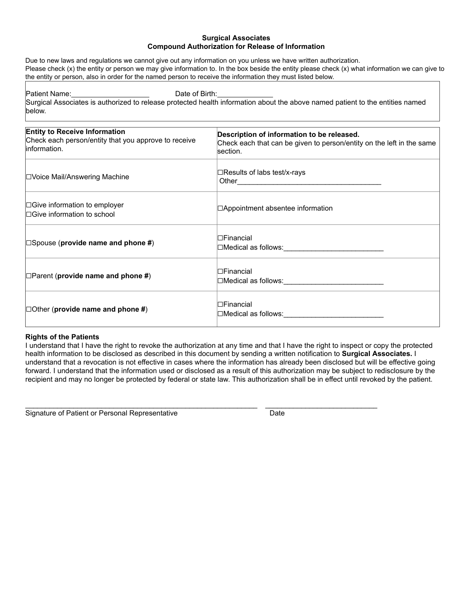# **Surgical Associates Compound Authorization for Release of Information**

Due to new laws and regulations we cannot give out any information on you unless we have written authorization. Please check (x) the entity or person we may give information to. In the box beside the entity please check (x) what information we can give to the entity or person, also in order for the named person to receive the information they must listed below.

Patient Name: Date of Birth:

Surgical Associates is authorized to release protected health information about the above named patient to the entities named below.

| <b>Entity to Receive Information</b><br>Check each person/entity that you approve to receive<br>linformation. | Description of information to be released.<br>Check each that can be given to person/entity on the left in the same<br>section. |
|---------------------------------------------------------------------------------------------------------------|---------------------------------------------------------------------------------------------------------------------------------|
| <b>□Voice Mail/Answering Machine</b>                                                                          | ⊟Results of labs test/x-rays                                                                                                    |
| $\Box$ Give information to employer<br>$\Box$ Give information to school                                      | $\Box$ Appointment absentee information                                                                                         |
| $\Box$ Spouse (provide name and phone #)                                                                      | $\Box$ Financial<br>□Medical as follows:______________________________                                                          |
| $\Box$ Parent (provide name and phone #)                                                                      | l⊟Financial<br>□Medical as follows:______________________________                                                               |
| $\Box$ Other (provide name and phone #)                                                                       | $\Box$ Financial<br>□Medical as follows:_______________________________                                                         |

# **Rights of the Patients**

I understand that I have the right to revoke the authorization at any time and that I have the right to inspect or copy the protected health information to be disclosed as described in this document by sending a written notification to **Surgical Associates.** I understand that a revocation is not effective in cases where the information has already been disclosed but will be effective going forward. I understand that the information used or disclosed as a result of this authorization may be subject to redisclosure by the recipient and may no longer be protected by federal or state law. This authorization shall be in effect until revoked by the patient.

 $\_$  , and the set of the set of the set of the set of the set of the set of the set of the set of the set of the set of the set of the set of the set of the set of the set of the set of the set of the set of the set of th

Signature of Patient or Personal Representative **Date** Date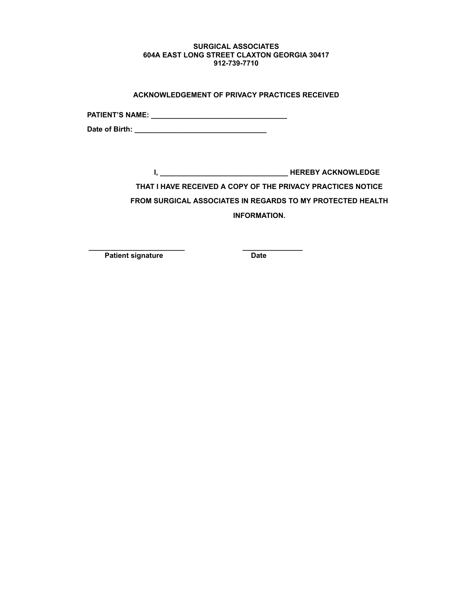## **SURGICAL ASSOCIATES 604A EAST LONG STREET CLAXTON GEORGIA 30417 912-739-7710**

| ACKNOWLEDGEMENT OF PRIVACY PRACTICES RECEIVED |  |
|-----------------------------------------------|--|
|                                               |  |

**PATIENT'S NAME: \_\_\_\_\_\_\_\_\_\_\_\_\_\_\_\_\_\_\_\_\_\_\_\_\_\_\_\_\_\_\_\_\_\_**

**Date of Birth: \_\_\_\_\_\_\_\_\_\_\_\_\_\_\_\_\_\_\_\_\_\_\_\_\_\_\_\_\_\_\_\_\_**

**I, \_\_\_\_\_\_\_\_\_\_\_\_\_\_\_\_\_\_\_\_\_\_\_\_\_\_\_\_\_\_\_\_ HEREBY ACKNOWLEDGE THAT I HAVE RECEIVED A COPY OF THE PRIVACY PRACTICES NOTICE FROM SURGICAL ASSOCIATES IN REGARDS TO MY PROTECTED HEALTH INFORMATION.**

**\_\_\_\_\_\_\_\_\_\_\_\_\_\_\_\_\_\_\_\_\_\_\_\_ \_\_\_\_\_\_\_\_\_\_\_\_\_\_\_ Patient signature Date**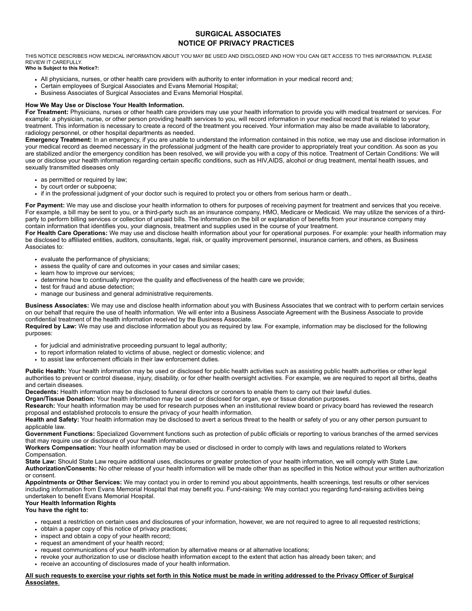# **SURGICAL ASSOCIATES NOTICE OF PRIVACY PRACTICES**

THIS NOTICE DESCRIBES HOW MEDICAL INFORMATION ABOUT YOU MAY BE USED AND DISCLOSED AND HOW YOU CAN GET ACCESS TO THIS INFORMATION. PLEASE REVIEW IT CAREFULLY. **Who is Subject to this Notice?:**

- All physicians, nurses, or other health care providers with authority to enter information in your medical record and;
- Certain employees of Surgical Associates and Evans Memorial Hospital;
- Business Associates of Surgical Associates and Evans Memorial Hospital.

#### **How We May Use or Disclose Your Health Information.**

**For Treatment:** Physicians, nurses or other health care providers may use your health information to provide you with medical treatment or services. For example: a physician, nurse, or other person providing health services to you, will record information in your medical record that is related to your treatment. This information is necessary to create a record of the treatment you received. Your information may also be made available to laboratory, radiology personnel, or other hospital departments as needed.

**Emergency Treatment:** In an emergency, if you are unable to understand the information contained in this notice, we may use and disclose information in your medical record as deemed necessary in the professional judgment of the health care provider to appropriately treat your condition. As soon as you are stabilized and/or the emergency condition has been resolved, we will provide you with a copy of this notice. Treatment of Certain Conditions: We will use or disclose your health information regarding certain specific conditions, such as HIV,AIDS, alcohol or drug treatment, mental health issues, and sexually transmitted diseases only

- as permitted or required by law;
- by court order or subpoena;
- if in the professional judgment of your doctor such is required to protect you or others from serious harm or death..

For Payment: We may use and disclose your health information to others for purposes of receiving payment for treatment and services that you receive. For example, a bill may be sent to you, or a third-party such as an insurance company, HMO, Medicare or Medicaid. We may utilize the services of a thirdparty to perform billing services or collection of unpaid bills. The information on the bill or explanation of benefits from your insurance company may contain information that identifies you, your diagnosis, treatment and supplies used in the course of your treatment.

**For Health Care Operations:** We may use and disclose health information about your for operational purposes. For example: your health information may be disclosed to affiliated entities, auditors, consultants, legal, risk, or quality improvement personnel, insurance carriers, and others, as Business Associates to:

- evaluate the performance of physicians;
- assess the quality of care and outcomes in your cases and similar cases;
- learn how to improve our services;
- determine how to continually improve the quality and effectiveness of the health care we provide;
- test for fraud and abuse detection;
- manage our business and general administrative requirements.

**Business Associates:** We may use and disclose health information about you with Business Associates that we contract with to perform certain services on our behalf that require the use of health information. We will enter into a Business Associate Agreement with the Business Associate to provide confidential treatment of the health information received by the Business Associate.

**Required by Law:** We may use and disclose information about you as required by law. For example, information may be disclosed for the following purposes:

- for judicial and administrative proceeding pursuant to legal authority;
- to report information related to victims of abuse, neglect or domestic violence; and
- to assist law enforcement officials in their law enforcement duties.

**Public Health:** Your health information may be used or disclosed for public health activities such as assisting public health authorities or other legal authorities to prevent or control disease, injury, disability, or for other health oversight activities. For example, we are required to report all births, deaths and certain diseases.

**Decedents:** Health information may be disclosed to funeral directors or coroners to enable them to carry out their lawful duties.

**Organ/Tissue Donation:** Your health information may be used or disclosed for organ, eye or tissue donation purposes.

**Research:** Your health information may be used for research purposes when an institutional review board or privacy board has reviewed the research proposal and established protocols to ensure the privacy of your health information.

**Health and Safety:** Your health information may be disclosed to avert a serious threat to the health or safety of you or any other person pursuant to applicable law

**Government Functions:** Specialized Government functions such as protection of public officials or reporting to various branches of the armed services that may require use or disclosure of your health information.

**Workers Compensation:** Your health information may be used or disclosed in order to comply with laws and regulations related to Workers Compensation.

**State Law:** Should State Law require additional uses, disclosures or greater protection of your health information, we will comply with State Law. **Authorization/Consents:** No other release of your health information will be made other than as specified in this Notice without your written authorization or consent.

**Appointments or Other Services:** We may contact you in order to remind you about appointments, health screenings, test results or other services including information from Evans Memorial Hospital that may benefit you. Fund-raising: We may contact you regarding fund-raising activities being undertaken to benefit Evans Memorial Hospital.

# **Your Health Information Rights**

**You have the right to:**

- request a restriction on certain uses and disclosures of your information, however, we are not required to agree to all requested restrictions;
- obtain a paper copy of this notice of privacy practices;
- inspect and obtain a copy of your health record;
- request an amendment of your health record;
- request communications of your health information by alternative means or at alternative locations;
- revoke your authorization to use or disclose health information except to the extent that action has already been taken; and
- receive an accounting of disclosures made of your health information.

**All such requests to exercise your rights set forth in this Notice must be made in writing addressed to the Privacy Officer of Surgical Associates**.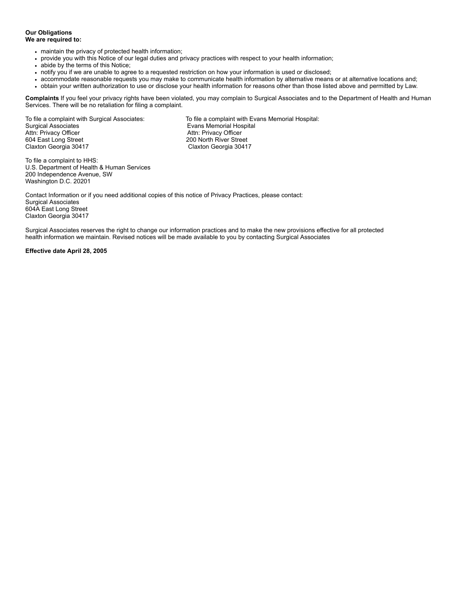#### **Our Obligations We are required to:**

- maintain the privacy of protected health information;
- provide you with this Notice of our legal duties and privacy practices with respect to your health information;  $\ddot{\phantom{0}}$
- abide by the terms of this Notice;  $\bullet$
- notify you if we are unable to agree to a requested restriction on how your information is used or disclosed;  $\ddot{\phantom{0}}$
- accommodate reasonable requests you may make to communicate health information by alternative means or at alternative locations and;
- obtain your written authorization to use or disclose your health information for reasons other than those listed above and permitted by Law.

**Complaints** If you feel your privacy rights have been violated, you may complain to Surgical Associates and to the Department of Health and Human Services. There will be no retaliation for filing a complaint.

Surgical Associates<br>
Attn: Privacy Officer<br>
Attn: Privacy Officer<br>
Attn: Privacy Officer Attn: Privacy Officer (Attn: Privacy Officer Attn: Privacy Officer 604 East Long Street (Attn: Privacy Officer<br>attn: 200 North River Street (Attn: 200 North River Street (Attn: 200 North River Street (Attn: 200 North River 604 East Long Street 200 North River Street

To file a complaint with Surgical Associates: To file a complaint with Evans Memorial Hospital: Claxton Georgia 30417 Claxton Georgia 30417

To file a complaint to HHS: U.S. Department of Health & Human Services 200 Independence Avenue, SW Washington D.C. 20201

Contact Information or if you need additional copies of this notice of Privacy Practices, please contact: Surgical Associates 604A East Long Street Claxton Georgia 30417

Surgical Associates reserves the right to change our information practices and to make the new provisions effective for all protected health information we maintain. Revised notices will be made available to you by contacting Surgical Associates

#### **Effective date April 28, 2005**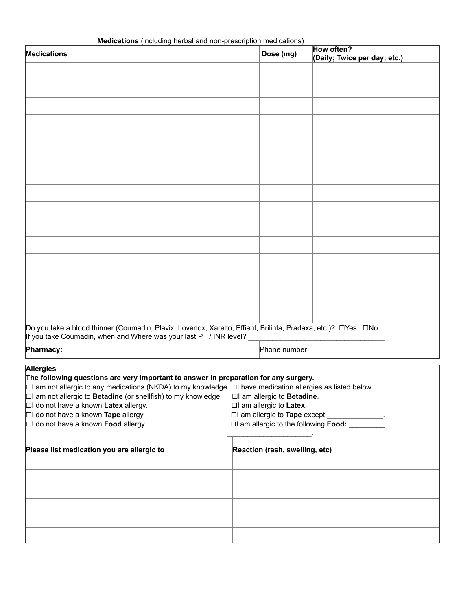| Medications (including herbal and non-prescription medications) |  |  |  |  |  |
|-----------------------------------------------------------------|--|--|--|--|--|
|-----------------------------------------------------------------|--|--|--|--|--|

| <b>Medications</b> (including nerbal and non-prescription medications)                                                                                                               |                                | How often?                                   |
|--------------------------------------------------------------------------------------------------------------------------------------------------------------------------------------|--------------------------------|----------------------------------------------|
| <b>Medications</b>                                                                                                                                                                   | Dose (mg)                      | (Daily; Twice per day; etc.)                 |
|                                                                                                                                                                                      |                                |                                              |
|                                                                                                                                                                                      |                                |                                              |
|                                                                                                                                                                                      |                                |                                              |
|                                                                                                                                                                                      |                                |                                              |
|                                                                                                                                                                                      |                                |                                              |
|                                                                                                                                                                                      |                                |                                              |
|                                                                                                                                                                                      |                                |                                              |
|                                                                                                                                                                                      |                                |                                              |
|                                                                                                                                                                                      |                                |                                              |
|                                                                                                                                                                                      |                                |                                              |
|                                                                                                                                                                                      |                                |                                              |
|                                                                                                                                                                                      |                                |                                              |
|                                                                                                                                                                                      |                                |                                              |
|                                                                                                                                                                                      |                                |                                              |
|                                                                                                                                                                                      |                                |                                              |
|                                                                                                                                                                                      |                                |                                              |
|                                                                                                                                                                                      |                                |                                              |
|                                                                                                                                                                                      |                                |                                              |
|                                                                                                                                                                                      |                                |                                              |
|                                                                                                                                                                                      |                                |                                              |
|                                                                                                                                                                                      |                                |                                              |
|                                                                                                                                                                                      |                                |                                              |
|                                                                                                                                                                                      |                                |                                              |
|                                                                                                                                                                                      |                                |                                              |
|                                                                                                                                                                                      |                                |                                              |
| Do you take a blood thinner (Coumadin, Plavix, Lovenox, Xarelto, Effient, Brilinta, Pradaxa, etc.)? □ Yes □ No<br>If you take Coumadin, when and Where was your last PT / INR level? |                                |                                              |
|                                                                                                                                                                                      |                                |                                              |
| Pharmacy:                                                                                                                                                                            | Phone number                   |                                              |
| <b>Allergies</b>                                                                                                                                                                     |                                |                                              |
| The following questions are very important to answer in preparation for any surgery.                                                                                                 |                                |                                              |
| $\Box$ l am not allergic to any medications (NKDA) to my knowledge. $\Box$ l have medication allergies as listed below.                                                              |                                |                                              |
| $\Box$ am not allergic to <b>Betadine</b> (or shellfish) to my knowledge.                                                                                                            | □I am allergic to Betadine.    |                                              |
| $\Box$ I do not have a known Latex allergy.                                                                                                                                          | □I am allergic to Latex.       |                                              |
| $\Box$ I do not have a known Tape allergy.                                                                                                                                           | □I am allergic to Tape except  | <u> Alban Alban Alban A</u>                  |
| $\Box$ I do not have a known <b>Food</b> allergy.                                                                                                                                    |                                | □I am allergic to the following <b>Food:</b> |
|                                                                                                                                                                                      |                                |                                              |
| Please list medication you are allergic to                                                                                                                                           | Reaction (rash, swelling, etc) |                                              |
|                                                                                                                                                                                      |                                |                                              |
|                                                                                                                                                                                      |                                |                                              |
|                                                                                                                                                                                      |                                |                                              |
|                                                                                                                                                                                      |                                |                                              |
|                                                                                                                                                                                      |                                |                                              |
|                                                                                                                                                                                      |                                |                                              |
|                                                                                                                                                                                      |                                |                                              |
|                                                                                                                                                                                      |                                |                                              |
|                                                                                                                                                                                      |                                |                                              |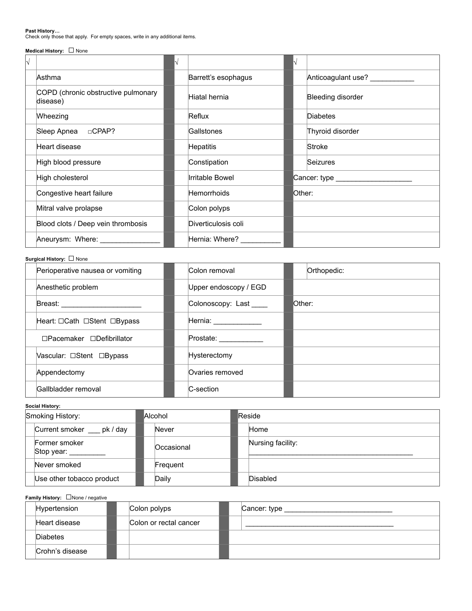**Past History…** Check only those that apply. For empty spaces, write in any additional items.

# **Medical History:** ☐ None

| N                                               |  |                     |        |                                     |
|-------------------------------------------------|--|---------------------|--------|-------------------------------------|
| Asthma                                          |  | Barrett's esophagus |        | Anticoagulant use?                  |
| COPD (chronic obstructive pulmonary<br>disease) |  | Hiatal hernia       |        | Bleeding disorder                   |
| Wheezing                                        |  | Reflux              |        | <b>Diabetes</b>                     |
|                                                 |  | Gallstones          |        | Thyroid disorder                    |
| Heart disease                                   |  | <b>Hepatitis</b>    |        | Stroke                              |
| High blood pressure                             |  | Constipation        |        | Seizures                            |
| High cholesterol                                |  | Irritable Bowel     |        | Cancer: type ______________________ |
| Congestive heart failure                        |  | <b>Hemorrhoids</b>  | Other: |                                     |
| Mitral valve prolapse                           |  | Colon polyps        |        |                                     |
| Blood clots / Deep vein thrombosis              |  | Diverticulosis coli |        |                                     |
| Aneurysm: Where:                                |  | Hernia: Where?      |        |                                     |

## **Surgical History:** ☐ None

| Perioperative nausea or vomiting      | Colon removal          | Orthopedic: |
|---------------------------------------|------------------------|-------------|
| Anesthetic problem                    | Upper endoscopy / EGD  |             |
| Breast: ___________________           | Colonoscopy: Last      | lOther:     |
| Heart: □Cath □Stent □Bypass           | Hernia: ______________ |             |
| $\Box$ Pacemaker $\Box$ Defibrillator | Prostate: ____________ |             |
| Vascular: □Stent □Bypass              | Hysterectomy           |             |
| Appendectomy                          | Ovaries removed        |             |
| Gallbladder removal                   | C-section              |             |

### **Social History:**

| Smoking History: |                             | Alcohol    |  | Reside            |  |  |
|------------------|-----------------------------|------------|--|-------------------|--|--|
|                  | Current smoker pk / day     | Never      |  | Home              |  |  |
|                  | Former smoker<br>Stop year: | Occasional |  | Nursing facility: |  |  |
|                  | Never smoked                | Frequent   |  |                   |  |  |
|                  | Use other tobacco product   | Daily      |  | Disabled          |  |  |

# **Family History:** ☐None / negative

| Hypertension    | Colon polyps           | Cancer: type |
|-----------------|------------------------|--------------|
| Heart disease   | Colon or rectal cancer |              |
| <b>Diabetes</b> |                        |              |
| Crohn's disease |                        |              |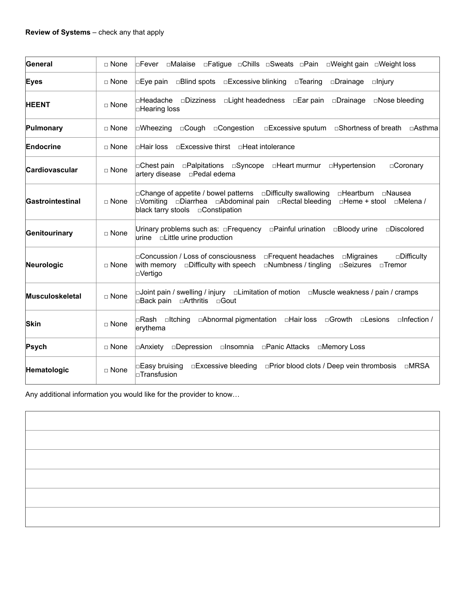| General          | $\Box$ None   | □Fatigue □Chills □Sweats □Pain □Weight gain □Weight loss<br><b>DFever</b> DMalaise                                                                                                                                                      |
|------------------|---------------|-----------------------------------------------------------------------------------------------------------------------------------------------------------------------------------------------------------------------------------------|
| <b>Eyes</b>      | □ None        | $\Box$ Eye pain<br>$\square$ Blind spots<br>$\square$ Excessive blinking<br>□Drainage<br>$\square$ Tearing<br>$\Box$ lnjury                                                                                                             |
| <b>HEENT</b>     | $\sqcap$ None | ⊓Headache<br>$\square$ Dizziness<br>□Light headedness<br>□Ear pain<br>$\square$ Drainage<br>$\Box$ Nose bleeding<br>□Hearing loss                                                                                                       |
| Pulmonary        | □ None        | □Congestion<br>$\square$ Excessive sputum $\square$ Shortness of breath<br>⊡Wheezing<br>$\Box$ Cough<br>⊡Asthma                                                                                                                         |
| Endocrine        | $\sqcap$ None | l⊓Hair loss<br>□Excessive thirst □Heat intolerance                                                                                                                                                                                      |
| Cardiovascular   | $\sqcap$ None | ⊡Chest pain<br>$\square$ Palpitations<br>□Syncope □Heart murmur<br>□Hypertension<br>□Coronary<br>artery disease<br>□Pedal edema                                                                                                         |
| Gastrointestinal | $\Box$ None   | $\Box$ Change of appetite / bowel patterns<br>□Difficulty swallowing<br>□Heartburn □Nausea<br>l⊡Vomitina<br>□Diarrhea □Abdominal pain<br>□Rectal bleeding<br>∩Melena /<br>$\Box$ Heme + stool<br>black tarry stools $\Box$ Constipation |
| Genitourinary    | $\Box$ None   | Urinary problems such as: □Frequency<br>□Painful urination<br>⊡Bloody urine<br>□Discolored<br>□Little urine production<br>urine                                                                                                         |
| Neurologic       | $\Box$ None   | $\sqcap$ Concussion / Loss of consciousness<br>$\Box$ Frequent headaches $\Box$ Migraines<br>$\square$ Difficulty<br>□Difficulty with speech<br>$\square$ Numbness / tingling<br>□Seizures □Tremor<br>with memory<br>⊡Vertigo           |
| Musculoskeletal  | $\Box$ None   | □Joint pain / swelling / injury □Limitation of motion □Muscle weakness / pain / cramps<br>□Back pain<br>□Arthritis<br>$\Box$ Gout                                                                                                       |
| <b>Skin</b>      | $\Box$ None   | □Hair loss<br>$\square$ Infection /<br>$\Box$ Itching<br>□Abnormal pigmentation<br>$\Box$ Growth<br>l⊡Rash<br>$\Box$ Lesions<br>erythema                                                                                                |
| Psych            | □ None        | □Depression □Insomnia □Panic Attacks<br>∣⊡Anxiety<br>□Memory Loss                                                                                                                                                                       |
| Hematologic      | $\Box$ None   | □Excessive bleeding<br>□Prior blood clots / Deep vein thrombosis<br>$\square$ MRSA<br>□Easy bruising<br>$\square$ Transfusion                                                                                                           |

Any additional information you would like for the provider to know…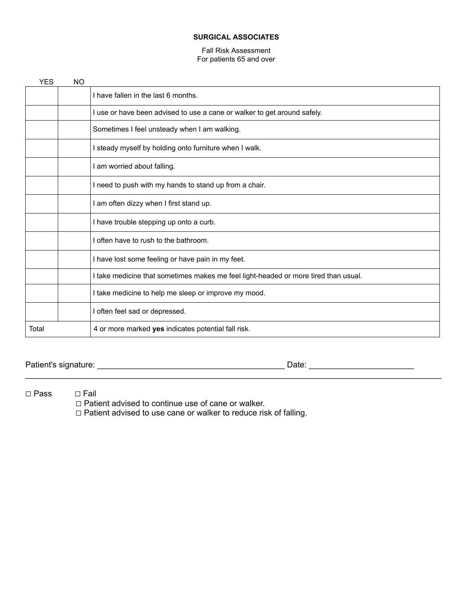# **SURGICAL ASSOCIATES**

# Fall Risk Assessment For patients 65 and over

| <b>YES</b> | NO |                                                                                     |
|------------|----|-------------------------------------------------------------------------------------|
|            |    | I have fallen in the last 6 months.                                                 |
|            |    | use or have been advised to use a cane or walker to get around safely.              |
|            |    | Sometimes I feel unsteady when I am walking.                                        |
|            |    | steady myself by holding onto furniture when I walk.                                |
|            |    | am worried about falling.                                                           |
|            |    | I need to push with my hands to stand up from a chair.                              |
|            |    | I am often dizzy when I first stand up.                                             |
|            |    | I have trouble stepping up onto a curb.                                             |
|            |    | often have to rush to the bathroom.                                                 |
|            |    | I have lost some feeling or have pain in my feet.                                   |
|            |    | I take medicine that sometimes makes me feel light-headed or more tired than usual. |
|            |    | I take medicine to help me sleep or improve my mood.                                |
|            |    | often feel sad or depressed.                                                        |
| Total      |    | 4 or more marked yes indicates potential fall risk.                                 |

\_\_\_\_\_\_\_\_\_\_\_\_\_\_\_\_\_\_\_\_\_\_\_\_\_\_\_\_\_\_\_\_\_\_\_\_\_\_\_\_\_\_\_\_\_\_\_\_\_\_\_\_\_\_\_\_\_\_\_\_\_\_\_\_\_\_\_\_\_\_\_\_\_\_\_\_\_\_\_\_\_\_\_\_\_\_\_\_\_\_\_

Patient's signature: \_\_\_\_\_\_\_\_\_\_\_\_\_\_\_\_\_\_\_\_\_\_\_\_\_\_\_\_\_\_\_\_\_\_\_\_\_\_\_\_\_ Date: \_\_\_\_\_\_\_\_\_\_\_\_\_\_\_\_\_\_\_\_\_\_\_

☐ Pass ☐ Fail

☐ Patient advised to continue use of cane or walker.

☐ Patient advised to use cane or walker to reduce risk of falling.